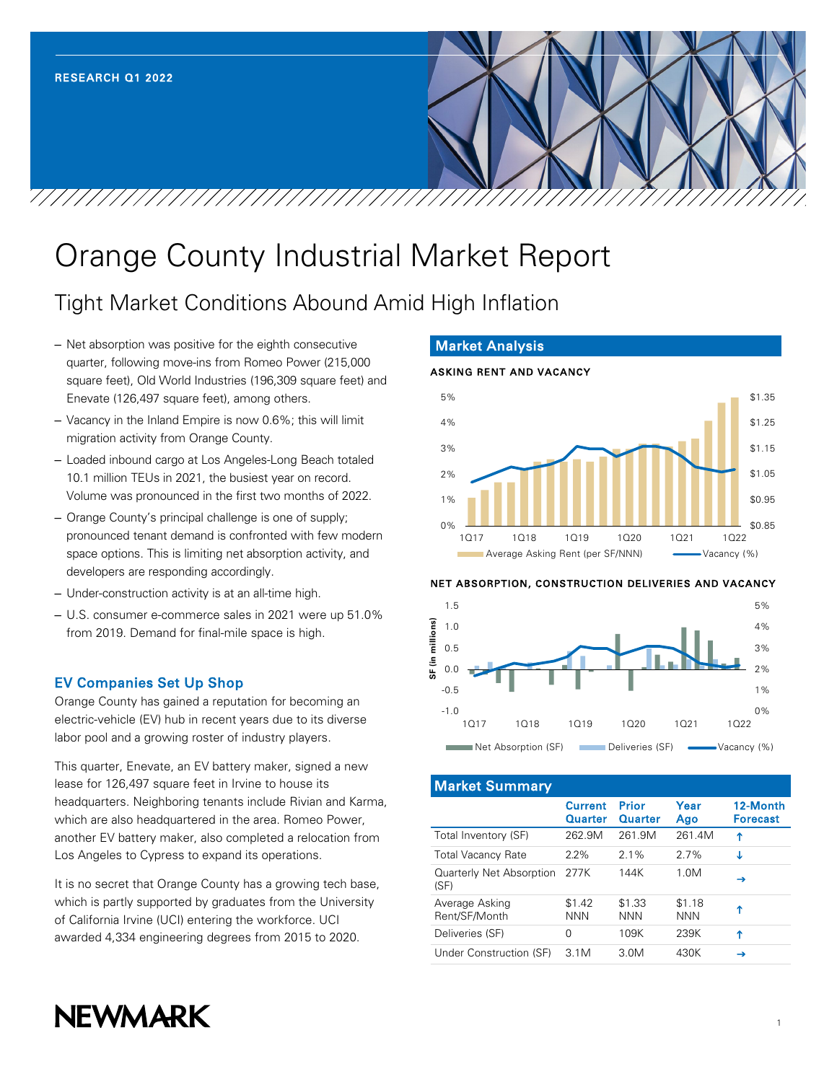# Orange County Industrial Market Report

## Tight Market Conditions Abound Amid High Inflation

- Net absorption was positive for the eighth consecutive quarter, following move-ins from Romeo Power (215,000 square feet), Old World Industries (196,309 square feet) and Enevate (126,497 square feet), among others.
- Vacancy in the Inland Empire is now 0.6%; this will limit migration activity from Orange County.
- Loaded inbound cargo at Los Angeles-Long Beach totaled 10.1 million TEUs in 2021, the busiest year on record. Volume was pronounced in the first two months of 2022.
- Orange County's principal challenge is one of supply; pronounced tenant demand is confronted with few modern space options. This is limiting net absorption activity, and developers are responding accordingly.
- Under-construction activity is at an all-time high.
- U.S. consumer e-commerce sales in 2021 were up 51.0% from 2019. Demand for final-mile space is high.

## EV Companies Set Up Shop

Orange County has gained a reputation for becoming an electric-vehicle (EV) hub in recent years due to its diverse labor pool and a growing roster of industry players.

This quarter, Enevate, an EV battery maker, signed a new lease for 126,497 square feet in Irvine to house its headquarters. Neighboring tenants include Rivian and Karma, which are also headquartered in the area. Romeo Power, another EV battery maker, also completed a relocation from Los Angeles to Cypress to expand its operations.

It is no secret that Orange County has a growing tech base, which is partly supported by graduates from the University of California Irvine (UCI) entering the workforce. UCI awarded 4,334 engineering degrees from 2015 to 2020.

## Market Analysis

#### ASKING RENT AND VACANCY \$0.85 \$0.95 \$1.05 \$1.15 \$1.25 \$1.35  $0%$ 1% 2% 3% 4% 5% 1Q17 1Q18 1Q19 1Q20 1Q21 1Q22 Average Asking Rent (per SF/NNN) Vacancy (%)

#### NET ABSORPTION, CONSTRUCTION DELIVERIES AND VACANCY



Market Summary

|                                  | <b>Current</b><br><b>Quarter</b> | Prior<br><b>Quarter</b> | Year<br>Ago          | 12-Month<br><b>Forecast</b> |
|----------------------------------|----------------------------------|-------------------------|----------------------|-----------------------------|
| Total Inventory (SF)             | 262.9M                           | 261.9M                  | 261.4M               | ↑                           |
| <b>Total Vacancy Rate</b>        | $2.2\%$                          | 21%                     | 27%                  | Τ                           |
| Quarterly Net Absorption<br>(SF) | 277K                             | 144K                    | 1.0M                 | →                           |
| Average Asking<br>Rent/SF/Month  | \$1.42<br><b>NNN</b>             | \$1.33<br><b>NNN</b>    | \$1.18<br><b>NNN</b> | ↑                           |
| Deliveries (SF)                  | 0                                | 109K                    | 239K                 | ↑                           |
| Under Construction (SF)          | 3.1M                             | 3.0M                    | 430K                 | →                           |

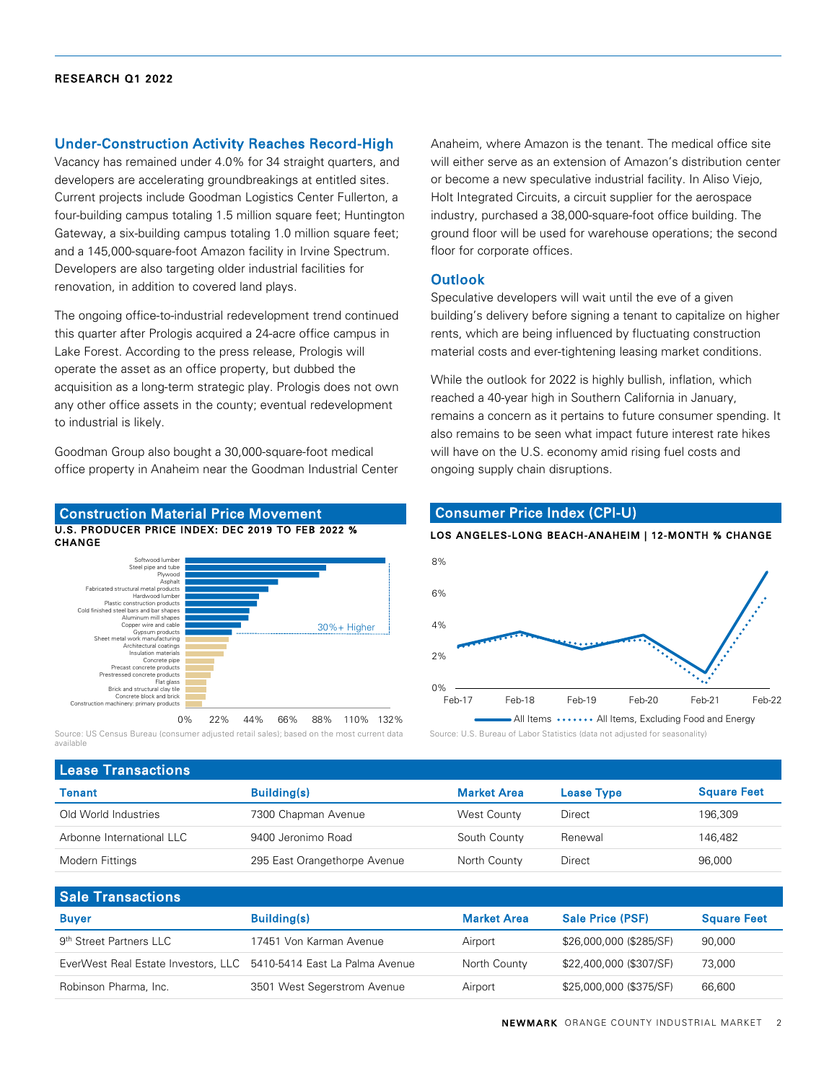#### Under-Construction Activity Reaches Record-High

Vacancy has remained under 4.0% for 34 straight quarters, and developers are accelerating groundbreakings at entitled sites. Current projects include Goodman Logistics Center Fullerton, a four-building campus totaling 1.5 million square feet; Huntington Gateway, a six-building campus totaling 1.0 million square feet; and a 145,000-square-foot Amazon facility in Irvine Spectrum. Developers are also targeting older industrial facilities for renovation, in addition to covered land plays.

The ongoing office-to-industrial redevelopment trend continued this quarter after Prologis acquired a 24-acre office campus in Lake Forest. According to the press release, Prologis will operate the asset as an office property, but dubbed the acquisition as a long-term strategic play. Prologis does not own any other office assets in the county; eventual redevelopment to industrial is likely.

Goodman Group also bought a 30,000-square-foot medical office property in Anaheim near the Goodman Industrial Center

#### U.S. PRODUCER PRICE INDEX: DEC 2019 TO FEB 2022 % **CHANGE** Construction Material Price Movement



0% 22% 44% 66% 88% 110% 132% Source: US Census Bureau (consumer adjusted retail sales); based on the most current data available

Anaheim, where Amazon is the tenant. The medical office site will either serve as an extension of Amazon's distribution center or become a new speculative industrial facility. In Aliso Viejo, Holt Integrated Circuits, a circuit supplier for the aerospace industry, purchased a 38,000-square-foot office building. The ground floor will be used for warehouse operations; the second floor for corporate offices.

#### **Outlook**

Speculative developers will wait until the eve of a given building's delivery before signing a tenant to capitalize on higher rents, which are being influenced by fluctuating construction material costs and ever-tightening leasing market conditions.

While the outlook for 2022 is highly bullish, inflation, which reached a 40-year high in Southern California in January, remains a concern as it pertains to future consumer spending. It also remains to be seen what impact future interest rate hikes will have on the U.S. economy amid rising fuel costs and ongoing supply chain disruptions.

### Consumer Price Index (CPI-U)

#### LOS ANGELES-LONG BEACH-ANAHEIM | 12-MONTH % CHANGE



Source: U.S. Bureau of Labor Statistics (data not adjusted for seasonality)

| <b>Lease Transactions</b> |                              |                    |                   |                    |  |  |  |
|---------------------------|------------------------------|--------------------|-------------------|--------------------|--|--|--|
| Tenant                    | <b>Building(s)</b>           | <b>Market Area</b> | <b>Lease Type</b> | <b>Square Feet</b> |  |  |  |
| Old World Industries      | 7300 Chapman Avenue          | West County        | Direct            | 196.309            |  |  |  |
| Arbonne International LLC | 9400 Jeronimo Road           | South County       | Renewal           | 146.482            |  |  |  |
| Modern Fittings           | 295 East Orangethorpe Avenue | North County       | Direct            | 96,000             |  |  |  |
|                           |                              |                    |                   |                    |  |  |  |

## Sale Transactions Buyer **Building(s)** Building(s) **Market Area** Sale Price (PSF) Square Feet 9th Street Partners LLC 17451 Von Karman Avenue Airport \$26,000,000 (\$285/SF) 90,000 EverWest Real Estate Investors, LLC 5410-5414 East La Palma Avenue North County \$22,400,000 (\$307/SF) 73,000 Robinson Pharma, Inc. 3501 West Segerstrom Avenue Airport \$25,000,000 (\$375/SF) 66,600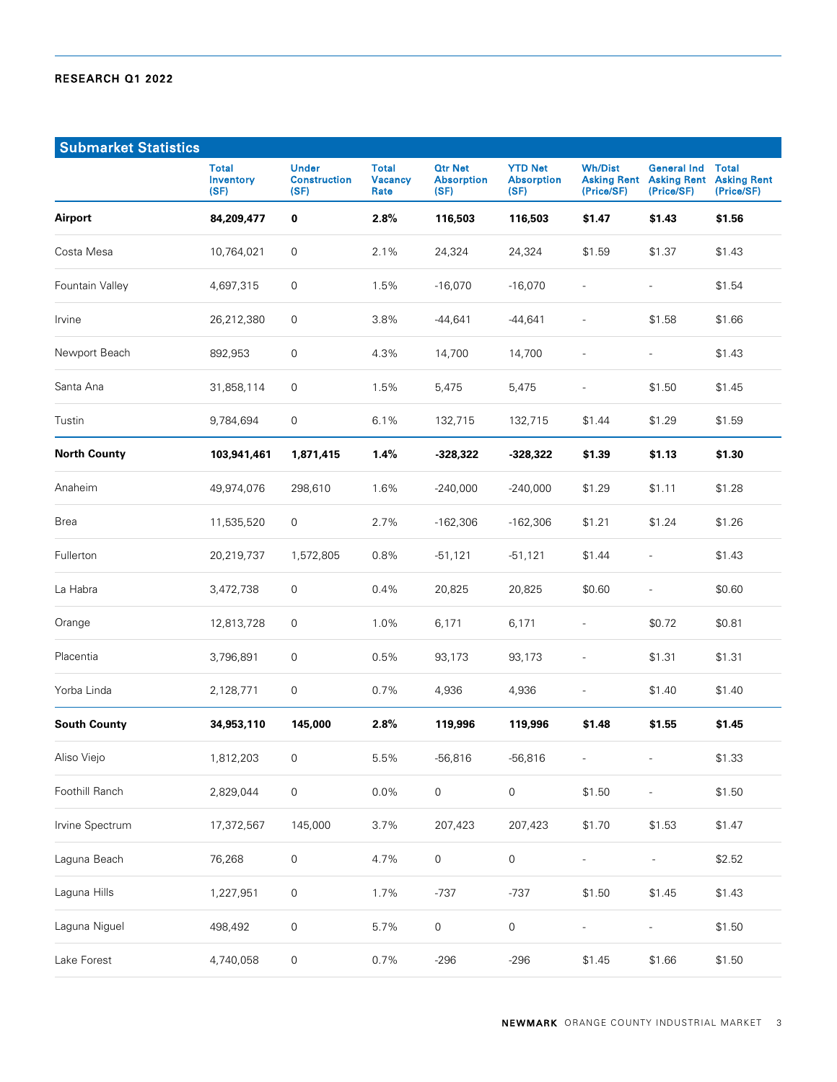| <b>Submarket Statistics</b> |                                          |                                             |                                        |                                             |                                             |                              |                                                                    |                                                  |
|-----------------------------|------------------------------------------|---------------------------------------------|----------------------------------------|---------------------------------------------|---------------------------------------------|------------------------------|--------------------------------------------------------------------|--------------------------------------------------|
|                             | <b>Total</b><br><b>Inventory</b><br>(SF) | <b>Under</b><br><b>Construction</b><br>(SF) | <b>Total</b><br><b>Vacancy</b><br>Rate | <b>Qtr Net</b><br><b>Absorption</b><br>(SF) | <b>YTD Net</b><br><b>Absorption</b><br>(SF) | <b>Wh/Dist</b><br>(Price/SF) | <b>General Ind</b><br><b>Asking Rent Asking Rent</b><br>(Price/SF) | <b>Total</b><br><b>Asking Rent</b><br>(Price/SF) |
| <b>Airport</b>              | 84,209,477                               | $\bf{0}$                                    | 2.8%                                   | 116,503                                     | 116,503                                     | \$1.47                       | \$1.43                                                             | \$1.56                                           |
| Costa Mesa                  | 10,764,021                               | $\mathsf{0}$                                | 2.1%                                   | 24,324                                      | 24,324                                      | \$1.59                       | \$1.37                                                             | \$1.43                                           |
| Fountain Valley             | 4,697,315                                | 0                                           | 1.5%                                   | $-16,070$                                   | $-16,070$                                   | $\overline{a}$               | $\overline{\phantom{a}}$                                           | \$1.54                                           |
| Irvine                      | 26,212,380                               | 0                                           | 3.8%                                   | $-44,641$                                   | $-44,641$                                   | $\overline{a}$               | \$1.58                                                             | \$1.66                                           |
| Newport Beach               | 892,953                                  | $\mathsf{0}$                                | 4.3%                                   | 14,700                                      | 14,700                                      |                              | $\overline{\phantom{a}}$                                           | \$1.43                                           |
| Santa Ana                   | 31,858,114                               | 0                                           | 1.5%                                   | 5,475                                       | 5,475                                       | $\overline{\phantom{a}}$     | \$1.50                                                             | \$1.45                                           |
| Tustin                      | 9,784,694                                | 0                                           | 6.1%                                   | 132,715                                     | 132,715                                     | \$1.44                       | \$1.29                                                             | \$1.59                                           |
| <b>North County</b>         | 103,941,461                              | 1,871,415                                   | 1.4%                                   | $-328,322$                                  | $-328,322$                                  | \$1.39                       | \$1.13                                                             | \$1.30                                           |
| Anaheim                     | 49,974,076                               | 298,610                                     | 1.6%                                   | $-240,000$                                  | $-240,000$                                  | \$1.29                       | \$1.11                                                             | \$1.28                                           |
| Brea                        | 11,535,520                               | 0                                           | 2.7%                                   | $-162,306$                                  | $-162,306$                                  | \$1.21                       | \$1.24                                                             | \$1.26                                           |
| Fullerton                   | 20,219,737                               | 1,572,805                                   | 0.8%                                   | $-51,121$                                   | $-51,121$                                   | \$1.44                       | $\overline{a}$                                                     | \$1.43                                           |
| La Habra                    | 3,472,738                                | 0                                           | 0.4%                                   | 20,825                                      | 20,825                                      | \$0.60                       | $\overline{a}$                                                     | \$0.60                                           |
| Orange                      | 12,813,728                               | 0                                           | 1.0%                                   | 6,171                                       | 6,171                                       | $\qquad \qquad -$            | \$0.72                                                             | \$0.81                                           |
| Placentia                   | 3,796,891                                | 0                                           | 0.5%                                   | 93,173                                      | 93,173                                      | $\overline{a}$               | \$1.31                                                             | \$1.31                                           |
| Yorba Linda                 | 2,128,771                                | 0                                           | 0.7%                                   | 4,936                                       | 4,936                                       | $\overline{\phantom{0}}$     | \$1.40                                                             | \$1.40                                           |
| <b>South County</b>         | 34,953,110                               | 145,000                                     | 2.8%                                   | 119,996                                     | 119,996                                     | \$1.48                       | \$1.55                                                             | \$1.45                                           |
| Aliso Viejo                 | 1,812,203                                | 0                                           | 5.5%                                   | $-56,816$                                   | $-56,816$                                   |                              | $\overline{a}$                                                     | \$1.33                                           |
| Foothill Ranch              | 2,829,044                                | $\mathsf{O}\xspace$                         | 0.0%                                   | $\mathsf{O}\xspace$                         | $\mathsf{O}\xspace$                         | \$1.50                       | $\overline{\phantom{a}}$                                           | \$1.50                                           |
| Irvine Spectrum             | 17,372,567                               | 145,000                                     | 3.7%                                   | 207,423                                     | 207,423                                     | \$1.70                       | \$1.53                                                             | \$1.47                                           |
| Laguna Beach                | 76,268                                   | $\mathsf{O}\xspace$                         | 4.7%                                   | $\mathsf{O}\xspace$                         | $\mathsf{O}\xspace$                         | $\overline{a}$               |                                                                    | \$2.52                                           |
| Laguna Hills                | 1,227,951                                | 0                                           | 1.7%                                   | $-737$                                      | $-737$                                      | \$1.50                       | \$1.45                                                             | \$1.43                                           |
| Laguna Niguel               | 498,492                                  | $\mathsf{O}\xspace$                         | 5.7%                                   | $\mathsf{O}\xspace$                         | $\mathsf{O}\xspace$                         |                              |                                                                    | \$1.50                                           |
| Lake Forest                 | 4,740,058                                | $\mathsf{O}\xspace$                         | 0.7%                                   | $-296$                                      | $-296$                                      | \$1.45                       | \$1.66                                                             | \$1.50                                           |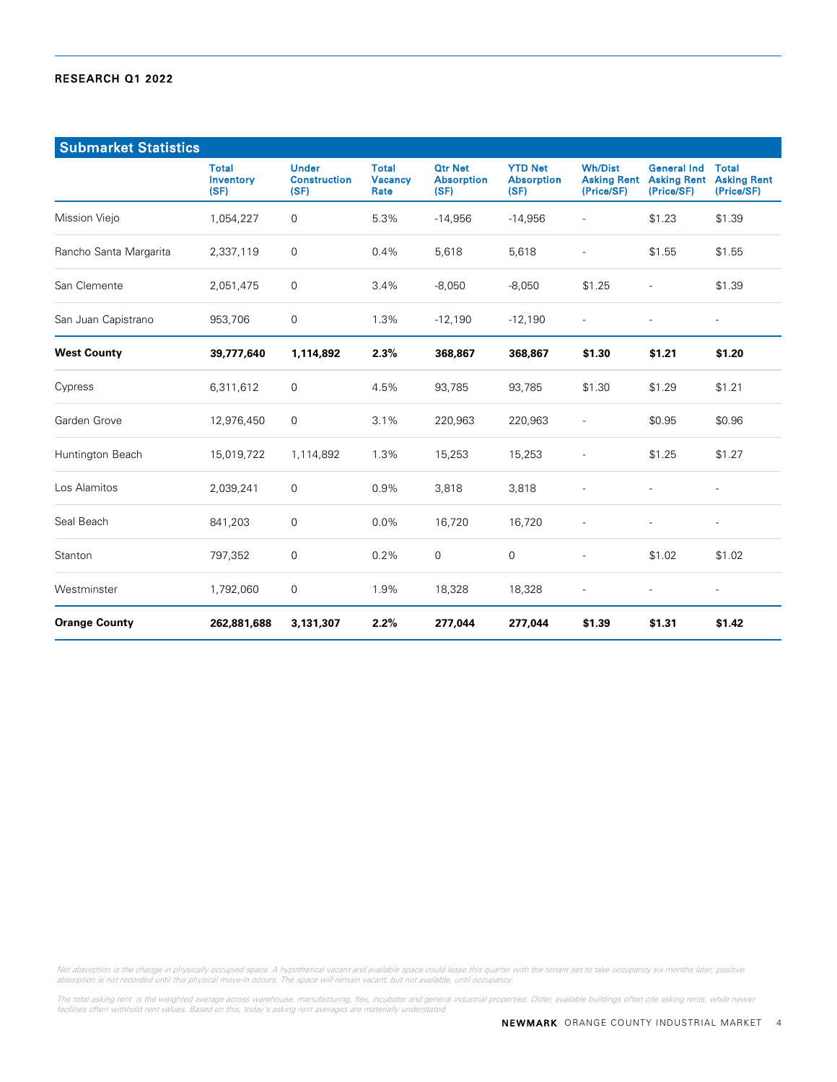| <b>Submarket Statistics</b> |                                   |                                             |                                        |                                             |                                             |                                                    |                                                        |                                                  |
|-----------------------------|-----------------------------------|---------------------------------------------|----------------------------------------|---------------------------------------------|---------------------------------------------|----------------------------------------------------|--------------------------------------------------------|--------------------------------------------------|
|                             | <b>Total</b><br>Inventory<br>(SF) | <b>Under</b><br><b>Construction</b><br>(SF) | <b>Total</b><br><b>Vacancy</b><br>Rate | <b>Otr Net</b><br><b>Absorption</b><br>(SF) | <b>YTD Net</b><br><b>Absorption</b><br>(SF) | <b>Wh/Dist</b><br><b>Asking Rent</b><br>(Price/SF) | <b>General Ind</b><br><b>Asking Rent</b><br>(Price/SF) | <b>Total</b><br><b>Asking Rent</b><br>(Price/SF) |
| Mission Viejo               | 1,054,227                         | $\mathbf 0$                                 | 5.3%                                   | $-14,956$                                   | $-14,956$                                   |                                                    | \$1.23                                                 | \$1.39                                           |
| Rancho Santa Margarita      | 2,337,119                         | $\mathbf 0$                                 | 0.4%                                   | 5,618                                       | 5,618                                       | $\overline{a}$                                     | \$1.55                                                 | \$1.55                                           |
| San Clemente                | 2,051,475                         | $\mathbf 0$                                 | 3.4%                                   | $-8,050$                                    | $-8,050$                                    | \$1.25                                             |                                                        | \$1.39                                           |
| San Juan Capistrano         | 953,706                           | $\mathsf{O}\xspace$                         | 1.3%                                   | $-12,190$                                   | $-12,190$                                   | $\overline{\phantom{a}}$                           |                                                        | $\overline{\phantom{0}}$                         |
| <b>West County</b>          | 39,777,640                        | 1,114,892                                   | 2.3%                                   | 368,867                                     | 368,867                                     | \$1.30                                             | \$1.21                                                 | \$1.20                                           |
| Cypress                     | 6,311,612                         | 0                                           | 4.5%                                   | 93,785                                      | 93,785                                      | \$1.30                                             | \$1.29                                                 | \$1.21                                           |
| Garden Grove                | 12,976,450                        | $\mathbf 0$                                 | 3.1%                                   | 220,963                                     | 220,963                                     | $\overline{\phantom{a}}$                           | \$0.95                                                 | \$0.96                                           |
| Huntington Beach            | 15,019,722                        | 1,114,892                                   | 1.3%                                   | 15,253                                      | 15,253                                      |                                                    | \$1.25                                                 | \$1.27                                           |
| Los Alamitos                | 2,039,241                         | 0                                           | 0.9%                                   | 3,818                                       | 3,818                                       | $\overline{a}$                                     | $\overline{a}$                                         | $\overline{\phantom{a}}$                         |
| Seal Beach                  | 841,203                           | $\mathsf{O}\xspace$                         | 0.0%                                   | 16,720                                      | 16,720                                      | $\overline{a}$                                     | $\overline{\phantom{a}}$                               | $\overline{\phantom{0}}$                         |
| Stanton                     | 797,352                           | $\mathbf 0$                                 | 0.2%                                   | $\mathbf 0$                                 | 0                                           | $\overline{\phantom{a}}$                           | \$1.02                                                 | \$1.02                                           |
| Westminster                 | 1,792,060                         | $\mathsf{O}\xspace$                         | 1.9%                                   | 18,328                                      | 18,328                                      | $\overline{\phantom{a}}$                           | $\overline{a}$                                         | $\overline{\phantom{0}}$                         |
| <b>Orange County</b>        | 262,881,688                       | 3,131,307                                   | 2.2%                                   | 277,044                                     | 277,044                                     | \$1.39                                             | \$1.31                                                 | \$1.42                                           |

Net absorption is the change in physically occupied space. A hypothetical vacant and available space could lease this quarter with the tenant set to take occupancy six months later; positive<br>absorption is not recorded unti

The total asking rent is the weighted average across warehouse, manufacturing, flex, incubator and general industrial properties. Older, available buildings often cite asking rents, while newer<br>facilities often withhold re